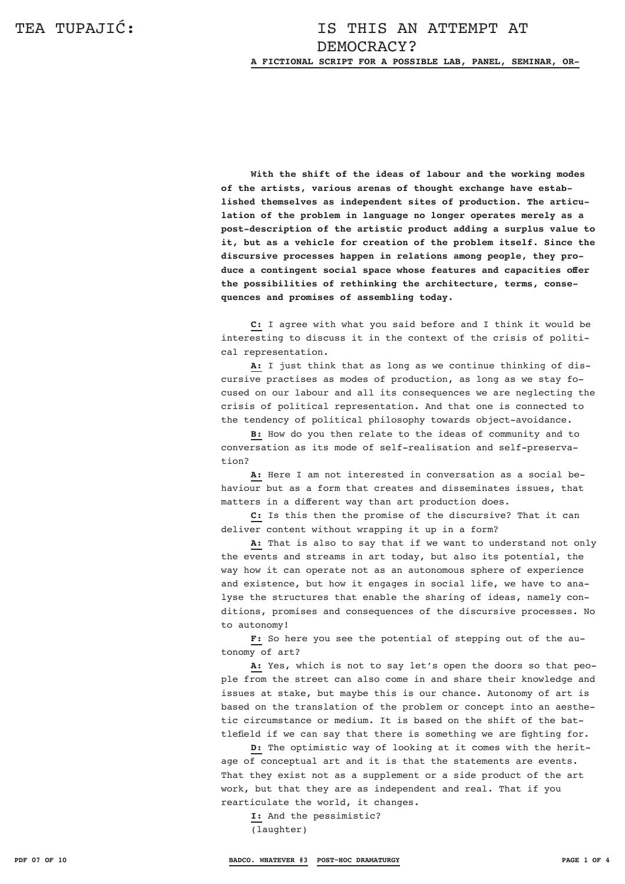**With the shift of the ideas of labour and the working modes of the artists, various arenas of thought exchange have established themselves as independent sites of production. The articulation of the problem in language no longer operates merely as a post-description of the artistic product adding a surplus value to it, but as a vehicle for creation of the problem itself. Since the discursive processes happen in relations among people, they produce a contingent social space whose features and capacities offer the possibilities of rethinking the architecture, terms, consequences and promises of assembling today.** 

**C:** I agree with what you said before and I think it would be interesting to discuss it in the context of the crisis of political representation.

**A:** I just think that as long as we continue thinking of discursive practises as modes of production, as long as we stay focused on our labour and all its consequences we are neglecting the crisis of political representation. And that one is connected to the tendency of political philosophy towards object-avoidance.

**B:** How do you then relate to the ideas of community and to conversation as its mode of self-realisation and self-preserva $t$ ion?

**A:** Here I am not interested in conversation as a social behaviour but as a form that creates and disseminates issues, that matters in a different way than art production does.

**C:** Is this then the promise of the discursive? That it can deliver content without wrapping it up in a form?

**A:** That is also to say that if we want to understand not only the events and streams in art today, but also its potential, the way how it can operate not as an autonomous sphere of experience and existence, but how it engages in social life, we have to analyse the structures that enable the sharing of ideas, namely conditions, promises and consequences of the discursive processes. No to autonomy!

**F:** So here you see the potential of stepping out of the autonomy of art?

**A:** Yes, which is not to say let's open the doors so that people from the street can also come in and share their knowledge and issues at stake, but maybe this is our chance. Autonomy of art is based on the translation of the problem or concept into an aesthetic circumstance or medium. It is based on the shift of the battlefield if we can say that there is something we are fighting for.

**D:** The optimistic way of looking at it comes with the heritage of conceptual art and it is that the statements are events. That they exist not as a supplement or a side product of the art work, but that they are as independent and real. That if you rearticulate the world, it changes.

**I:** And the pessimistic? (laughter)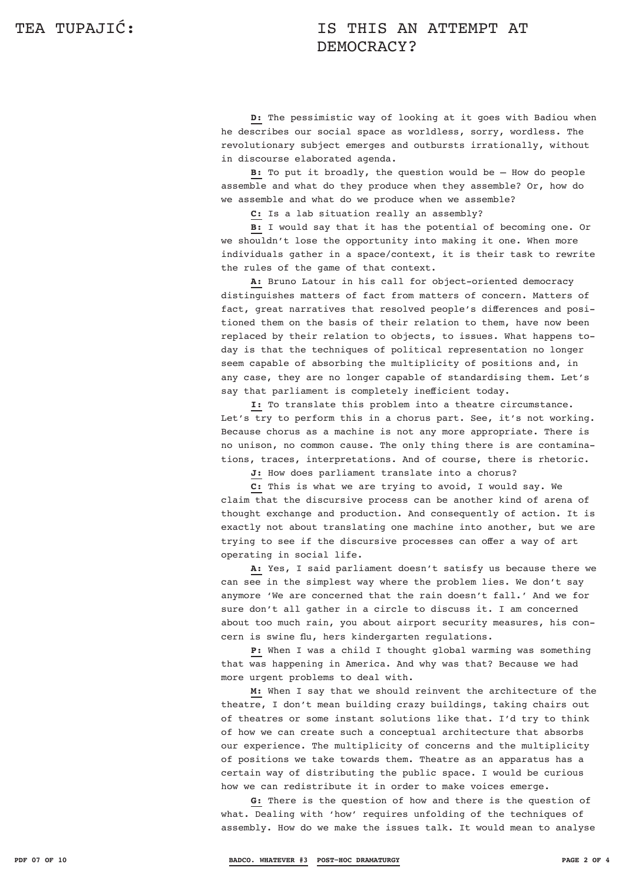## TEA TUPAJIĆ: TEA TUPAJIĆ: DEMOCRACY?

**D:** The pessimistic way of looking at it goes with Badiou when he describes our social space as worldless, sorry, wordless. The revolutionary subject emerges and outbursts irrationally, without in discourse elaborated agenda.

**B:** To put it broadly, the question would be – How do people assemble and what do they produce when they assemble? Or, how do we assemble and what do we produce when we assemble?

**C:** Is a lab situation really an assembly?

**B:** I would say that it has the potential of becoming one. Or we shouldn't lose the opportunity into making it one. When more individuals gather in a space/context, it is their task to rewrite the rules of the game of that context.

**A:** Bruno Latour in his call for object-oriented democracy distinguishes matters of fact from matters of concern. Matters of fact, great narratives that resolved people's differences and positioned them on the basis of their relation to them, have now been replaced by their relation to objects, to issues. What happens today is that the techniques of political representation no longer seem capable of absorbing the multiplicity of positions and, in any case, they are no longer capable of standardising them. Let's say that parliament is completely inefficient today.

**I:** To translate this problem into a theatre circumstance. Let's try to perform this in a chorus part. See, it's not working. Because chorus as a machine is not any more appropriate. There is no unison, no common cause. The only thing there is are contaminations, traces, interpretations. And of course, there is rhetoric.

J: How does parliament translate into a chorus?

**C:** This is what we are trying to avoid, I would say. We claim that the discursive process can be another kind of arena of thought exchange and production. And consequently of action. It is exactly not about translating one machine into another, but we are trying to see if the discursive processes can offer a way of art operating in social life.

**A:** Yes, I said parliament doesn't satisfy us because there we can see in the simplest way where the problem lies. We don't say anymore 'We are concerned that the rain doesn't fall.' And we for sure don't all gather in a circle to discuss it. I am concerned about too much rain, you about airport security measures, his concern is swine flu, hers kindergarten regulations.

**P:** When I was a child I thought global warming was something that was happening in America. And why was that? Because we had more urgent problems to deal with.

**M:** When I say that we should reinvent the architecture of the theatre, I don't mean building crazy buildings, taking chairs out of theatres or some instant solutions like that. I'd try to think of how we can create such a conceptual architecture that absorbs our experience. The multiplicity of concerns and the multiplicity of positions we take towards them. Theatre as an apparatus has a certain way of distributing the public space. I would be curious how we can redistribute it in order to make voices emerge.

**G:** There is the question of how and there is the question of what. Dealing with 'how' requires unfolding of the techniques of assembly. How do we make the issues talk. It would mean to analyse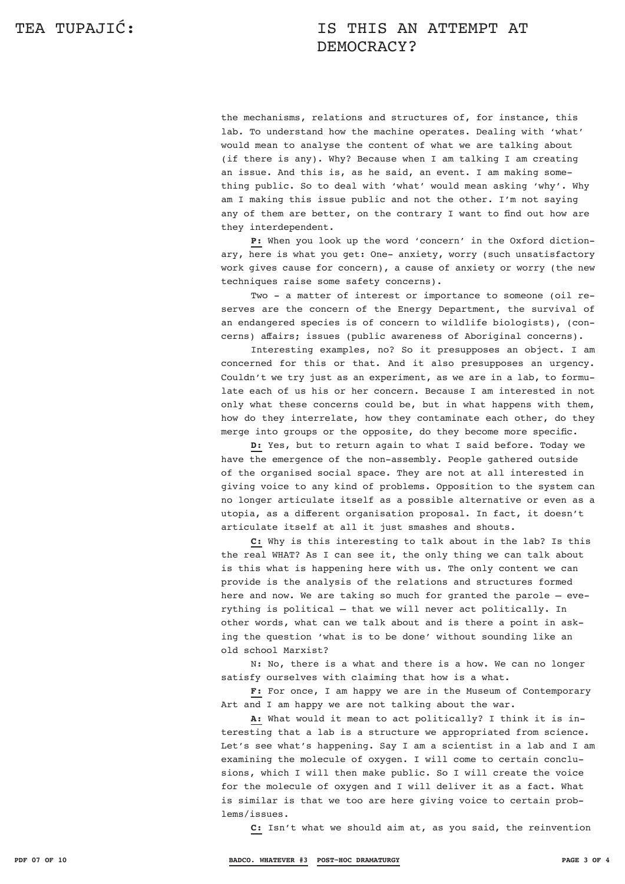## TEA TUPAJIĆ: TEA TUPAJIĆ: DEMOCRACY?

the mechanisms, relations and structures of, for instance, this lab. To understand how the machine operates. Dealing with 'what' would mean to analyse the content of what we are talking about (if there is any). Why? Because when I am talking I am creating an issue. And this is, as he said, an event. I am making something public. So to deal with 'what' would mean asking 'why'. Why am I making this issue public and not the other. I'm not saying any of them are better, on the contrary I want to find out how are they interdependent.

**P:** When you look up the word 'concern' in the Oxford dictionary, here is what you get: One- anxiety, worry (such unsatisfactory work gives cause for concern), a cause of anxiety or worry (the new techniques raise some safety concerns).

Two - a matter of interest or importance to someone (oil reserves are the concern of the Energy Department, the survival of an endangered species is of concern to wildlife biologists), (concerns) affairs; issues (public awareness of Aboriginal concerns).

Interesting examples, no? So it presupposes an object. I am concerned for this or that. And it also presupposes an urgency. Couldn't we try just as an experiment, as we are in a lab, to formulate each of us his or her concern. Because I am interested in not only what these concerns could be, but in what happens with them, how do they interrelate, how they contaminate each other, do they merge into groups or the opposite, do they become more specific.

**D:** Yes, but to return again to what I said before. Today we have the emergence of the non-assembly. People gathered outside of the organised social space. They are not at all interested in giving voice to any kind of problems. Opposition to the system can no longer articulate itself as a possible alternative or even as a utopia, as a different organisation proposal. In fact, it doesn't articulate itself at all it just smashes and shouts.

**C:** Why is this interesting to talk about in the lab? Is this the real WHAT? As I can see it, the only thing we can talk about is this what is happening here with us. The only content we can provide is the analysis of the relations and structures formed here and now. We are taking so much for granted the parole – everything is political – that we will never act politically. In other words, what can we talk about and is there a point in asking the question 'what is to be done' without sounding like an old school Marxist?

N: No, there is a what and there is a how. We can no longer satisfy ourselves with claiming that how is a what.

**F:** For once, I am happy we are in the Museum of Contemporary Art and I am happy we are not talking about the war.

**A:** What would it mean to act politically? I think it is interesting that a lab is a structure we appropriated from science. Let's see what's happening. Say I am a scientist in a lab and I am examining the molecule of oxygen. I will come to certain conclusions, which I will then make public. So I will create the voice for the molecule of oxygen and I will deliver it as a fact. What is similar is that we too are here giving voice to certain problems/issues.

**C:** Isn't what we should aim at, as you said, the reinvention